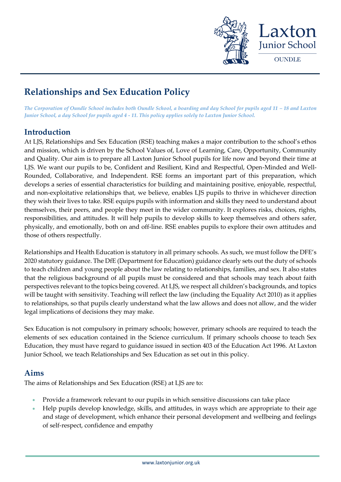

# **Relationships and Sex Education Policy**

*The Corporation of Oundle School includes both Oundle School, a boarding and day School for pupils aged 11 - 18 and Laxton Junior School, a day School for pupils aged 4 - 11. This policy applies solely to Laxton Junior School.*

## **Introduction**

At LJS, Relationships and Sex Education (RSE) teaching makes a major contribution to the school's ethos and mission, which is driven by the School Values of, Love of Learning, Care, Opportunity, Community and Quality. Our aim is to prepare all Laxton Junior School pupils for life now and beyond their time at LJS. We want our pupils to be, Confident and Resilient, Kind and Respectful, Open-Minded and Well-Rounded, Collaborative, and Independent. RSE forms an important part of this preparation, which develops a series of essential characteristics for building and maintaining positive, enjoyable, respectful, and non-exploitative relationships that, we believe, enables LJS pupils to thrive in whichever direction they wish their lives to take. RSE equips pupils with information and skills they need to understand about themselves, their peers, and people they meet in the wider community. It explores risks, choices, rights, responsibilities, and attitudes. It will help pupils to develop skills to keep themselves and others safer, physically, and emotionally, both on and off-line. RSE enables pupils to explore their own attitudes and those of others respectfully.

Relationships and Health Education is statutory in all primary schools. As such, we must follow the DFE's 2020 [statutory guidance.](file://///OS-FILESTO1/LJSSTAFF$/SJR/SJR/HEAD%20OF%20PASTORAL%20CARE/RELATIONSHIPS%20EDUCAITON/Policy/Relationships_Education__Relationships_and_Sex_Education__RSE__and_Health_Education%20(1).pdf) The DfE (Department for Education) guidance clearly sets out the duty of schools to teach children and young people about the law relating to relationships, families, and sex. It also states that the religious background of all pupils must be considered and that schools may teach about faith perspectives relevant to the topics being covered. At LJS, we respect all children's backgrounds, and topics will be taught with sensitivity. Teaching will reflect the law (including the Equality Act 2010) as it applies to relationships, so that pupils clearly understand what the law allows and does not allow, and the wider legal implications of decisions they may make.

Sex Education is not compulsory in primary schools; however, primary schools are required to teach the elements of sex education contained in the Science curriculum. If primary schools choose to teach Sex Education, they must have regard to [guidance](https://www.gov.uk/government/publications/sex-and-relationship-education) issued in section 403 of the [Education Act 1996.](http://www.legislation.gov.uk/ukpga/1996/56/contents) At Laxton Junior School, we teach Relationships and Sex Education as set out in this policy.

### **Aims**

The aims of Relationships and Sex Education (RSE) at LJS are to:

- Provide a framework relevant to our pupils in which sensitive discussions can take place
- Help pupils develop knowledge, skills, and attitudes, in ways which are appropriate to their age and stage of development, which enhance their personal development and wellbeing and feelings of self-respect, confidence and empathy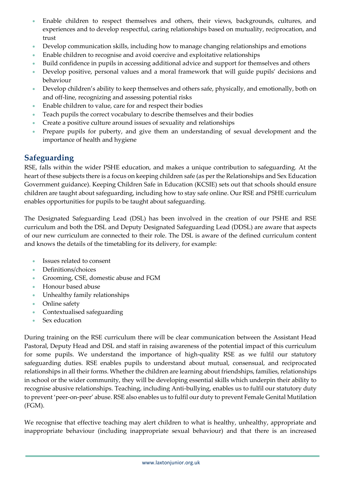- Enable children to respect themselves and others, their views, backgrounds, cultures, and experiences and to develop respectful, caring relationships based on mutuality, reciprocation, and trust
- Develop communication skills, including how to manage changing relationships and emotions
- Enable children to recognise and avoid coercive and exploitative relationships
- Build confidence in pupils in accessing additional advice and support for themselves and others
- Develop positive, personal values and a moral framework that will guide pupils' decisions and behaviour
- Develop children's ability to keep themselves and others safe, physically, and emotionally, both on and off-line, recognizing and assessing potential risks
- Enable children to value, care for and respect their bodies
- Teach pupils the correct vocabulary to describe themselves and their bodies
- Create a positive culture around issues of sexuality and relationships
- Prepare pupils for puberty, and give them an understanding of sexual development and the importance of health and hygiene

### **Safeguarding**

RSE, falls within the wider PSHE education, and makes a unique contribution to safeguarding. At the heart of these subjects there is a focus on keeping children safe (as per the Relationships and Sex Education Government guidance). Keeping Children Safe in Education (KCSIE) sets out that schools should ensure children are taught about safeguarding, including how to stay safe online. Our RSE and PSHE curriculum enables opportunities for pupils to be taught about safeguarding.

The Designated Safeguarding Lead (DSL) has been involved in the creation of our PSHE and RSE curriculum and both the DSL and Deputy Designated Safeguarding Lead (DDSL) are aware that aspects of our new curriculum are connected to their role. The DSL is aware of the defined curriculum content and knows the details of the timetabling for its delivery, for example:

- Issues related to consent
- Definitions/choices
- Grooming, CSE, domestic abuse and FGM
- Honour based abuse
- Unhealthy family relationships
- Online safety
- Contextualised safeguarding
- Sex education

During training on the RSE curriculum there will be clear communication between the Assistant Head Pastoral, Deputy Head and DSL and staff in raising awareness of the potential impact of this curriculum for some pupils. We understand the importance of high-quality RSE as we fulfil our statutory safeguarding duties. RSE enables pupils to understand about mutual, consensual, and reciprocated relationships in all their forms. Whether the children are learning about friendships, families, relationships in school or the wider community, they will be developing essential skills which underpin their ability to recognise abusive relationships. Teaching, including Anti-bullying, enables us to fulfil our statutory duty to prevent 'peer-on-peer' abuse. RSE also enables us to fulfil our duty to prevent Female Genital Mutilation (FGM).

We recognise that effective teaching may alert children to what is healthy, unhealthy, appropriate and inappropriate behaviour (including inappropriate sexual behaviour) and that there is an increased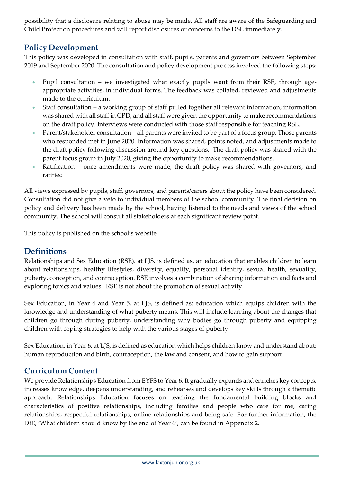possibility that a disclosure relating to abuse may be made. All staff are aware of the Safeguarding and Child Protection procedures and will report disclosures or concerns to the DSL immediately.

# **Policy Development**

This policy was developed in consultation with staff, pupils, parents and governors between September 2019 and September 2020. The consultation and policy development process involved the following steps:

- Pupil consultation we investigated what exactly pupils want from their RSE, through ageappropriate activities, in individual forms. The feedback was collated, reviewed and adjustments made to the curriculum.
- Staff consultation a working group of staff pulled together all relevant information; information was shared with all staff in CPD, and all staff were given the opportunity to make recommendations on the draft policy. Interviews were conducted with those staff responsible for teaching RSE.
- Parent/stakeholder consultation all parents were invited to be part of a focus group. Those parents who responded met in June 2020. Information was shared, points noted, and adjustments made to the draft policy following discussion around key questions. The draft policy was shared with the parent focus group in July 2020, giving the opportunity to make recommendations.
- Ratification once amendments were made, the draft policy was shared with governors, and ratified

All views expressed by pupils, staff, governors, and parents/carers about the policy have been considered. Consultation did not give a veto to individual members of the school community. The final decision on policy and delivery has been made by the school, having listened to the needs and views of the school community. The school will consult all stakeholders at each significant review point.

This policy is published on the school's website.

# **Definitions**

Relationships and Sex Education (RSE), at LJS, is defined as, an education that enables children to learn about relationships, healthy lifestyles, diversity, equality, personal identity, sexual health, sexuality, puberty, conception, and contraception. RSE involves a combination of sharing information and facts and exploring topics and values. RSE is not about the promotion of sexual activity.

Sex Education, in Year 4 and Year 5, at LJS, is defined as: education which equips children with the knowledge and understanding of what puberty means. This will include learning about the changes that children go through during puberty, understanding why bodies go through puberty and equipping children with coping strategies to help with the various stages of puberty.

Sex Education, in Year 6, at LJS, is defined as education which helps children know and understand about: human reproduction and birth, contraception, the law and consent, and how to gain support.

### **Curriculum Content**

We provide Relationships Education from EYFS to Year 6. It gradually expands and enriches key concepts, increases knowledge, deepens understanding, and rehearses and develops key skills through a thematic approach. Relationships Education focuses on teaching the fundamental building blocks and characteristics of positive relationships, including families and people who care for me, caring relationships, respectful relationships, online relationships and being safe. For further information, the DfE, 'What children should know by the end of Year 6', can be found in Appendix 2.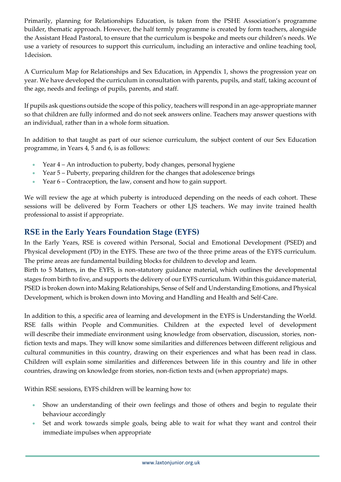Primarily, planning for Relationships Education, is taken from the PSHE Association's programme builder, thematic approach. However, the half termly programme is created by form teachers, alongside the Assistant Head Pastoral, to ensure that the curriculum is bespoke and meets our children's needs. We use a variety of resources to support this curriculum, including an interactive and online teaching tool, 1decision.

A Curriculum Map for Relationships and Sex Education, in Appendix 1, shows the progression year on year. We have developed the curriculum in consultation with parents, pupils, and staff, taking account of the age, needs and feelings of pupils, parents, and staff.

If pupils ask questions outside the scope of this policy, teachers will respond in an age-appropriate manner so that children are fully informed and do not seek answers online. Teachers may answer questions with an individual, rather than in a whole form situation.

In addition to that taught as part of our science curriculum, the subject content of our Sex Education programme, in Years 4, 5 and 6, is as follows:

- Year 4 An introduction to puberty, body changes, personal hygiene
- Year 5 Puberty, preparing children for the changes that adolescence brings
- Year 6 Contraception, the law, consent and how to gain support.

We will review the age at which puberty is introduced depending on the needs of each cohort. These sessions will be delivered by Form Teachers or other LJS teachers. We may invite trained health professional to assist if appropriate.

# **RSE in the Early Years Foundation Stage (EYFS)**

In the Early Years, RSE is covered within Personal, Social and Emotional Development (PSED) and Physical development (PD) in the EYFS. These are two of the three prime areas of the EYFS curriculum. The prime areas are fundamental building blocks for children to develop and learn.

Birth to 5 Matters, in the EYFS, is non-statutory guidance material, which outlines the developmental stages from birth to five, and supports the delivery of our EYFS curriculum. Within this guidance material, PSED is broken down into Making Relationships, Sense of Self and Understanding Emotions, and Physical Development, which is broken down into Moving and Handling and Health and Self-Care.

In addition to this, a specific area of learning and development in the EYFS is Understanding the World. RSE falls within People and Communities. Children at the expected level of development will describe their immediate environment using knowledge from observation, discussion, stories, nonfiction texts and maps. They will know some similarities and differences between different religious and cultural communities in this country, drawing on their experiences and what has been read in class. Children will explain some similarities and differences between life in this country and life in other countries, drawing on knowledge from stories, non-fiction texts and (when appropriate) maps.

Within RSE sessions, EYFS children will be learning how to:

- Show an understanding of their own feelings and those of others and begin to regulate their behaviour accordingly
- Set and work towards simple goals, being able to wait for what they want and control their immediate impulses when appropriate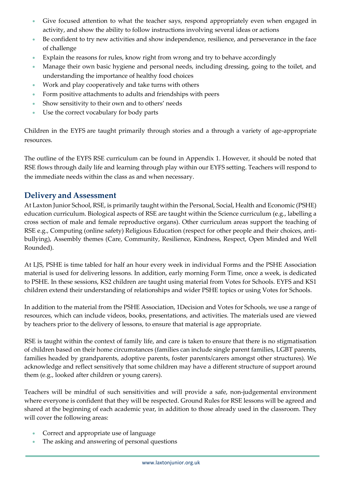- Give focused attention to what the teacher says, respond appropriately even when engaged in activity, and show the ability to follow instructions involving several ideas or actions
- Be confident to try new activities and show independence, resilience, and perseverance in the face of challenge
- Explain the reasons for rules, know right from wrong and try to behave accordingly
- Manage their own basic hygiene and personal needs, including dressing, going to the toilet, and understanding the importance of healthy food choices
- Work and play cooperatively and take turns with others
- Form positive attachments to adults and friendships with peers
- Show sensitivity to their own and to others' needs
- Use the correct vocabulary for body parts

Children in the EYFS are taught primarily through stories and a through a variety of age-appropriate resources.

The outline of the EYFS RSE curriculum can be found in Appendix 1. However, it should be noted that RSE flows through daily life and learning through play within our EYFS setting. Teachers will respond to the immediate needs within the class as and when necessary.

## **Delivery and Assessment**

At Laxton Junior School, RSE, is primarily taught within the Personal, Social, Health and Economic (PSHE) education curriculum. Biological aspects of RSE are taught within the Science curriculum (e.g., labelling a cross section of male and female reproductive organs). Other curriculum areas support the teaching of RSE e.g., Computing (online safety) Religious Education (respect for other people and their choices, antibullying), Assembly themes (Care, Community, Resilience, Kindness, Respect, Open Minded and Well Rounded).

At LJS, PSHE is time tabled for half an hour every week in individual Forms and the PSHE Association material is used for delivering lessons. In addition, early morning Form Time, once a week, is dedicated to PSHE. In these sessions, KS2 children are taught using material from Votes for Schools. EYFS and KS1 children extend their understanding of relationships and wider PSHE topics or using Votes for Schools.

In addition to the material from the PSHE Association, 1Decision and Votes for Schools, we use a range of resources, which can include videos, books, presentations, and activities. The materials used are viewed by teachers prior to the delivery of lessons, to ensure that material is age appropriate.

RSE is taught within the context of family life, and care is taken to ensure that there is no stigmatisation of children based on their home circumstances (families can include single parent families, LGBT parents, families headed by grandparents, adoptive parents, foster parents/carers amongst other structures). We acknowledge and reflect sensitively that some children may have a different structure of support around them (e.g., looked after children or young carers).

Teachers will be mindful of such sensitivities and will provide a safe, non-judgemental environment where everyone is confident that they will be respected. Ground Rules for RSE lessons will be agreed and shared at the beginning of each academic year, in addition to those already used in the classroom. They will cover the following areas:

- Correct and appropriate use of language
- The asking and answering of personal questions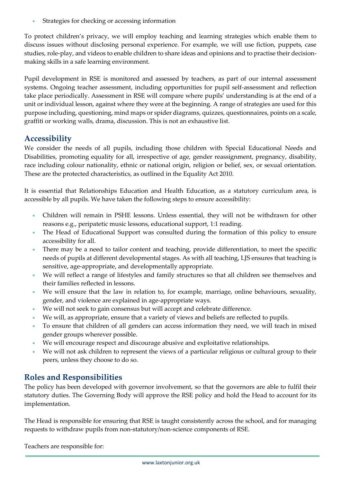Strategies for checking or accessing information

To protect children's privacy, we will employ teaching and learning strategies which enable them to discuss issues without disclosing personal experience. For example, we will use fiction, puppets, case studies, role-play, and videos to enable children to share ideas and opinions and to practise their decisionmaking skills in a safe learning environment.

Pupil development in RSE is monitored and assessed by teachers, as part of our internal assessment systems. Ongoing teacher assessment, including opportunities for pupil self-assessment and reflection take place periodically. Assessment in RSE will compare where pupils' understanding is at the end of a unit or individual lesson, against where they were at the beginning. A range of strategies are used for this purpose including, questioning, mind maps or spider diagrams, quizzes, questionnaires, points on a scale, graffiti or working walls, drama, discussion. This is not an exhaustive list.

# **Accessibility**

We consider the needs of all pupils, including those children with Special Educational Needs and Disabilities, promoting equality for all, irrespective of age, gender reassignment, pregnancy, disability, race including colour nationality, ethnic or national origin, religion or belief, sex, or sexual orientation. These are the protected characteristics, as outlined in the Equality Act 2010.

It is essential that Relationships Education and Health Education, as a statutory curriculum area, is accessible by all pupils. We have taken the following steps to ensure accessibility:

- Children will remain in PSHE lessons. Unless essential, they will not be withdrawn for other reasons e.g., peripatetic music lessons, educational support, 1:1 reading.
- The Head of Educational Support was consulted during the formation of this policy to ensure accessibility for all.
- There may be a need to tailor content and teaching, provide differentiation, to meet the specific needs of pupils at different developmental stages. As with all teaching, LJS ensures that teaching is sensitive, age-appropriate, and developmentally appropriate.
- We will reflect a range of lifestyles and family structures so that all children see themselves and their families reflected in lessons.
- We will ensure that the law in relation to, for example, marriage, online behaviours, sexuality, gender, and violence are explained in age-appropriate ways.
- We will not seek to gain consensus but will accept and celebrate difference.
- We will, as appropriate, ensure that a variety of views and beliefs are reflected to pupils.
- To ensure that children of all genders can access information they need, we will teach in mixed gender groups wherever possible.
- We will encourage respect and discourage abusive and exploitative relationships.
- We will not ask children to represent the views of a particular religious or cultural group to their peers, unless they choose to do so.

# **Roles and Responsibilities**

The policy has been developed with governor involvement, so that the governors are able to fulfil their statutory duties. The Governing Body will approve the RSE policy and hold the Head to account for its implementation.

The Head is responsible for ensuring that RSE is taught consistently across the school, and for managing requests to withdraw pupils from non-statutory/non-science components of RSE.

Teachers are responsible for: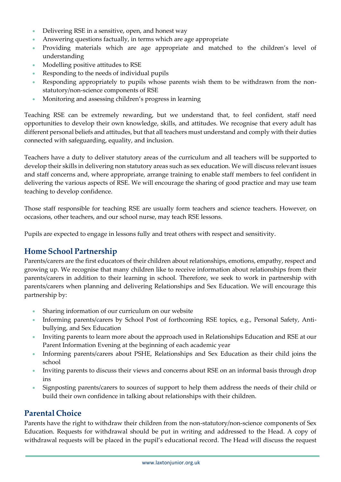- Delivering RSE in a sensitive, open, and honest way
- Answering questions factually, in terms which are age appropriate
- Providing materials which are age appropriate and matched to the children's level of understanding
- Modelling positive attitudes to RSE
- Responding to the needs of individual pupils
- Responding appropriately to pupils whose parents wish them to be withdrawn from the nonstatutory/non-science components of RSE
- Monitoring and assessing children's progress in learning

Teaching RSE can be extremely rewarding, but we understand that, to feel confident, staff need opportunities to develop their own knowledge, skills, and attitudes. We recognise that every adult has different personal beliefs and attitudes, but that all teachers must understand and comply with their duties connected with safeguarding, equality, and inclusion.

Teachers have a duty to deliver statutory areas of the curriculum and all teachers will be supported to develop their skills in delivering non statutory areas such as sex education. We will discuss relevant issues and staff concerns and, where appropriate, arrange training to enable staff members to feel confident in delivering the various aspects of RSE. We will encourage the sharing of good practice and may use team teaching to develop confidence.

Those staff responsible for teaching RSE are usually form teachers and science teachers. However, on occasions, other teachers, and our school nurse, may teach RSE lessons.

Pupils are expected to engage in lessons fully and treat others with respect and sensitivity.

### **Home School Partnership**

Parents/carers are the first educators of their children about relationships, emotions, empathy, respect and growing up. We recognise that many children like to receive information about relationships from their parents/carers in addition to their learning in school. Therefore, we seek to work in partnership with parents/carers when planning and delivering Relationships and Sex Education. We will encourage this partnership by:

- Sharing information of our curriculum on our website
- Informing parents/carers by School Post of forthcoming RSE topics, e.g., Personal Safety, Antibullying, and Sex Education
- Inviting parents to learn more about the approach used in Relationships Education and RSE at our Parent Information Evening at the beginning of each academic year
- Informing parents/carers about PSHE, Relationships and Sex Education as their child joins the school
- Inviting parents to discuss their views and concerns about RSE on an informal basis through drop ins
- Signposting parents/carers to sources of support to help them address the needs of their child or build their own confidence in talking about relationships with their children.

### **Parental Choice**

Parents have the right to withdraw their children from the non-statutory/non-science components of Sex Education. Requests for withdrawal should be put in writing and addressed to the Head. A copy of withdrawal requests will be placed in the pupil's educational record. The Head will discuss the request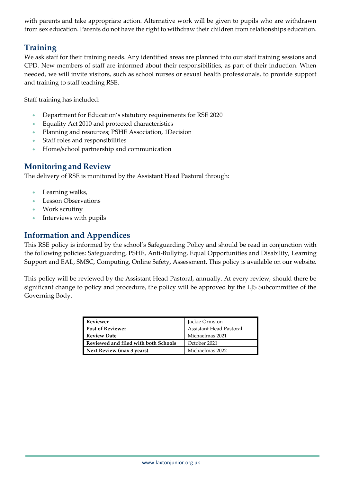with parents and take appropriate action. Alternative work will be given to pupils who are withdrawn from sex education. Parents do not have the right to withdraw their children from relationships education.

# **Training**

We ask staff for their training needs. Any identified areas are planned into our staff training sessions and CPD. New members of staff are informed about their responsibilities, as part of their induction. When needed, we will invite visitors, such as school nurses or sexual health professionals, to provide support and training to staff teaching RSE.

Staff training has included:

- Department for Education's statutory requirements for RSE 2020
- Equality Act 2010 and protected characteristics
- Planning and resources; PSHE Association, 1Decision
- Staff roles and responsibilities
- Home/school partnership and communication

## **Monitoring and Review**

The delivery of RSE is monitored by the Assistant Head Pastoral through:

- Learning walks,
- Lesson Observations
- Work scrutiny
- Interviews with pupils

## **Information and Appendices**

This RSE policy is informed by the school's Safeguarding Policy and should be read in conjunction with the following policies: Safeguarding, PSHE, Anti-Bullying, Equal Opportunities and Disability, Learning Support and EAL, SMSC, Computing, Online Safety, Assessment. This policy is available on our website.

This policy will be reviewed by the Assistant Head Pastoral, annually. At every review, should there be significant change to policy and procedure, the policy will be approved by the LJS Subcommittee of the Governing Body.

| Reviewer                             | Jackie Ormston          |
|--------------------------------------|-------------------------|
| <b>Post of Reviewer</b>              | Assistant Head Pastoral |
| Review Date                          | Michaelmas 2021         |
| Reviewed and filed with both Schools | October 2021            |
| Next Review (max 3 years)            | Michaelmas 2022         |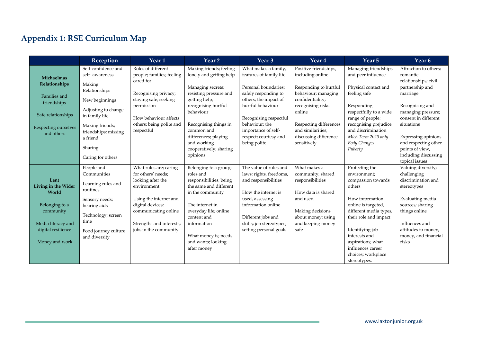# **Appendix 1: RSE Curriculum Map**

|                                      | Reception                                           | Year 1                                                             | Year 2                                                                | Year <sub>3</sub>                                 | Year 4                                       | Year 5                                                              | Year <sub>6</sub>                                         |
|--------------------------------------|-----------------------------------------------------|--------------------------------------------------------------------|-----------------------------------------------------------------------|---------------------------------------------------|----------------------------------------------|---------------------------------------------------------------------|-----------------------------------------------------------|
| Michaelmas                           | Self-confidence and<br>self- awareness              | Roles of different<br>people; families; feeling<br>cared for       | Making friends; feeling<br>lonely and getting help                    | What makes a family,<br>features of family life   | Positive friendships,<br>including online    | Managing friendships<br>and peer influence                          | Attraction to others;<br>romantic<br>relationships; civil |
| Relationships                        | Making<br>Relationships                             | Recognising privacy;                                               | Managing secrets;<br>resisting pressure and                           | Personal boundaries;<br>safely responding to      | Responding to hurtful<br>behaviour; managing | Physical contact and<br>feeling safe                                | partnership and<br>marriage                               |
| Families and<br>friendships          | New beginnings<br>Adjusting to change               | staying safe; seeking<br>permission                                | getting help;<br>recognising hurtful                                  | others; the impact of<br>hurtful behaviour        | confidentiality;<br>recognising risks        | Responding                                                          | Recognising and                                           |
| Safe relationships                   | in family life                                      | How behaviour affects<br>others; being polite and                  | behaviour<br>Recognising things in                                    | Recognising respectful<br>behaviour; the          | online<br>Respecting differences             | respectfully to a wide<br>range of people;<br>recognising prejudice | managing pressure;<br>consent in different<br>situations  |
| Respecting ourselves<br>and others   | Making friends;<br>friendships; missing<br>a friend | respectful                                                         | common and<br>differences; playing                                    | importance of self-<br>respect; courtesy and      | and similarities;<br>discussing difference   | and discrimination<br>Mich Term 2020 only                           | Expressing opinions                                       |
|                                      | Sharing                                             |                                                                    | and working<br>cooperatively; sharing                                 | being polite                                      | sensitively                                  | <b>Body Changes</b><br>Puberty                                      | and respecting other<br>points of view,                   |
|                                      | Caring for others                                   |                                                                    | opinions                                                              |                                                   |                                              |                                                                     | including discussing<br>topical issues                    |
|                                      | People and<br>Communities                           | What rules are; caring<br>for others' needs;                       | Belonging to a group;<br>roles and                                    | The value of rules and<br>laws; rights, freedoms, | What makes a<br>community, shared            | Protecting the<br>environment;                                      | Valuing diversity;<br>challenging                         |
| Lent<br>Living in the Wider<br>World | Learning rules and<br>routines                      | looking after the<br>environment                                   | responsibilities; being<br>the same and different<br>in the community | and responsibilities<br>How the internet is       | responsibilities<br>How data is shared       | compassion towards<br>others                                        | discrimination and<br>stereotypes                         |
| Belonging to a<br>community          | Sensory needs;<br>hearing aids                      | Using the internet and<br>digital devices;<br>communicating online | The internet in<br>everyday life; online                              | used, assessing<br>information online             | and used<br>Making decisions                 | How information<br>online is targeted,<br>different media types,    | Evaluating media<br>sources; sharing<br>things online     |
| Media literacy and                   | Technology; screen<br>time                          | Strengths and interests;                                           | content and<br>information                                            | Different jobs and<br>skills; job stereotypes;    | about money; using<br>and keeping money      | their role and impact                                               | Influences and                                            |
| digital resilience<br>Money and work | Food journey culture<br>and diversity               | jobs in the community                                              | What money is; needs<br>and wants; looking                            | setting personal goals                            | safe                                         | Identifying job<br>interests and<br>aspirations; what               | attitudes to money,<br>money, and financial<br>risks      |
|                                      |                                                     |                                                                    | after money                                                           |                                                   |                                              | influences career<br>choices; workplace                             |                                                           |
|                                      |                                                     |                                                                    |                                                                       |                                                   |                                              | stereotypes.                                                        |                                                           |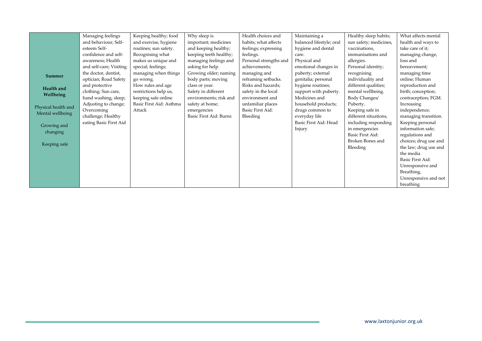|                     | Managing feelings       | Keeping healthy; food   | Why sleep is           | Health choices and     | Maintaining a            | Healthy sleep habits;   | What affects mental   |
|---------------------|-------------------------|-------------------------|------------------------|------------------------|--------------------------|-------------------------|-----------------------|
|                     | and behaviour; Self-    | and exercise, hygiene   | important; medicines   | habits; what affects   | balanced lifestyle; oral | sun safety; medicines,  | health and ways to    |
|                     | esteem Self-            | routines; sun safety.   | and keeping healthy;   | feelings; expressing   | hygiene and dental       | vaccinations,           | take care of it;      |
|                     | confidence and self-    | Recognising what        | keeping teeth healthy; | feelings.              | care.                    | immunisations and       | managing change,      |
|                     | awareness; Health       | makes us unique and     | managing feelings and  | Personal strengths and | Physical and             | allergies.              | loss and              |
|                     | and self-care; Visiting | special; feelings;      | asking for help.       | achievements;          | emotional changes in     | Personal identity;      | bereavement;          |
| <b>Summer</b>       | the doctor, dentist,    | managing when things    | Growing older; naming  | managing and           | puberty; external        | recognising             | managing time         |
|                     | optician; Road Safety   | go wrong.               | body parts; moving     | reframing setbacks.    | genitalia; personal      | individuality and       | online; Human         |
| Health and          | and protective          | How rules and age       | class or year.         | Risks and hazards;     | hygiene routines;        | different qualities;    | reproduction and      |
| Wellbeing           | clothing; Sun care,     | restrictions help us,   | Safety in different    | safety in the local    | support with puberty.    | mental wellbeing.       | birth; conception;    |
|                     | hand washing, sleep;    | keeping safe online     | environments; risk and | environment and        | Medicines and            | Body Changes/           | contraception; FGM.   |
| Physical health and | Adjusting to change;    | Basic First Aid: Asthma | safety at home;        | unfamiliar places      | household products;      | Puberty.                | Increasing            |
| Mental wellbeing    | Overcoming              | Attack                  | emergencies            | Basic First Aid:       | drugs common to          | Keeping safe in         | independence;         |
|                     | challenge; Healthy      |                         | Basic First Aid: Burns | Bleeding               | everyday life            | different situations,   | managing transition.  |
| Growing and         | eating Basic First Aid  |                         |                        |                        | Basic First Aid: Head    | including responding    | Keeping personal      |
|                     |                         |                         |                        |                        | Injury                   | in emergencies          | information safe;     |
| changing            |                         |                         |                        |                        |                          | Basic First Aid:        | regulations and       |
| Keeping safe        |                         |                         |                        |                        |                          | <b>Broken Bones and</b> | choices; drug use and |
|                     |                         |                         |                        |                        |                          | Bleeding                | the law; drug use and |
|                     |                         |                         |                        |                        |                          |                         | the media             |
|                     |                         |                         |                        |                        |                          |                         | Basic First Aid:      |
|                     |                         |                         |                        |                        |                          |                         | Unresponsive and      |
|                     |                         |                         |                        |                        |                          |                         | Breathing,            |
|                     |                         |                         |                        |                        |                          |                         | Unresponsive and not  |
|                     |                         |                         |                        |                        |                          |                         | breathing             |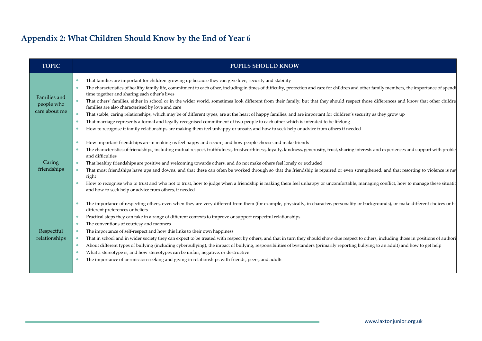# **Appendix 2: What Children Should Know by the End of Year 6**

| <b>TOPIC</b>                                | <b>PUPILS SHOULD KNOW</b>                                                                                                                                                                                                                                                                                                                                                                                                                                                                                                                                                                                                                                                                                                                                                                                                                                                                                                                                                                                                                                                                                                                              |
|---------------------------------------------|--------------------------------------------------------------------------------------------------------------------------------------------------------------------------------------------------------------------------------------------------------------------------------------------------------------------------------------------------------------------------------------------------------------------------------------------------------------------------------------------------------------------------------------------------------------------------------------------------------------------------------------------------------------------------------------------------------------------------------------------------------------------------------------------------------------------------------------------------------------------------------------------------------------------------------------------------------------------------------------------------------------------------------------------------------------------------------------------------------------------------------------------------------|
| Families and<br>people who<br>care about me | That families are important for children growing up because they can give love, security and stability<br>$\bullet$<br>The characteristics of healthy family life, commitment to each other, including in times of difficulty, protection and care for children and other family members, the importance of spendi<br>$\bullet$<br>time together and sharing each other's lives<br>That others' families, either in school or in the wider world, sometimes look different from their family, but that they should respect those differences and know that other childre<br>$\bullet$<br>families are also characterised by love and care<br>That stable, caring relationships, which may be of different types, are at the heart of happy families, and are important for children's security as they grow up<br>$\bullet$<br>That marriage represents a formal and legally recognised commitment of two people to each other which is intended to be lifelong<br>$\bullet$<br>How to recognise if family relationships are making them feel unhappy or unsafe, and how to seek help or advice from others if needed<br>$\bullet$                     |
| Caring<br>friendships                       | How important friendships are in making us feel happy and secure, and how people choose and make friends<br>$\bullet$<br>The characteristics of friendships, including mutual respect, truthfulness, trustworthiness, loyalty, kindness, generosity, trust, sharing interests and experiences and support with proble<br>$\bullet$<br>and difficulties<br>That healthy friendships are positive and welcoming towards others, and do not make others feel lonely or excluded<br>$\bullet$<br>That most friendships have ups and downs, and that these can often be worked through so that the friendship is repaired or even strengthened, and that resorting to violence is ney<br>$\bullet$<br>right<br>How to recognise who to trust and who not to trust, how to judge when a friendship is making them feel unhappy or uncomfortable, managing conflict, how to manage these situation<br>and how to seek help or advice from others, if needed                                                                                                                                                                                                   |
| Respectful<br>relationships                 | The importance of respecting others, even when they are very different from them (for example, physically, in character, personality or backgrounds), or make different choices or ha<br>$\bullet$<br>different preferences or beliefs<br>Practical steps they can take in a range of different contexts to improve or support respectful relationships<br>$\bullet$<br>The conventions of courtesy and manners<br>$\bullet$<br>The importance of self-respect and how this links to their own happiness<br>$\bullet$<br>That in school and in wider society they can expect to be treated with respect by others, and that in turn they should show due respect to others, including those in positions of authori<br>$\bullet$<br>About different types of bullying (including cyberbullying), the impact of bullying, responsibilities of bystanders (primarily reporting bullying to an adult) and how to get help<br>$\bullet$<br>What a stereotype is, and how stereotypes can be unfair, negative, or destructive<br>$\bullet$<br>The importance of permission-seeking and giving in relationships with friends, peers, and adults<br>$\bullet$ |